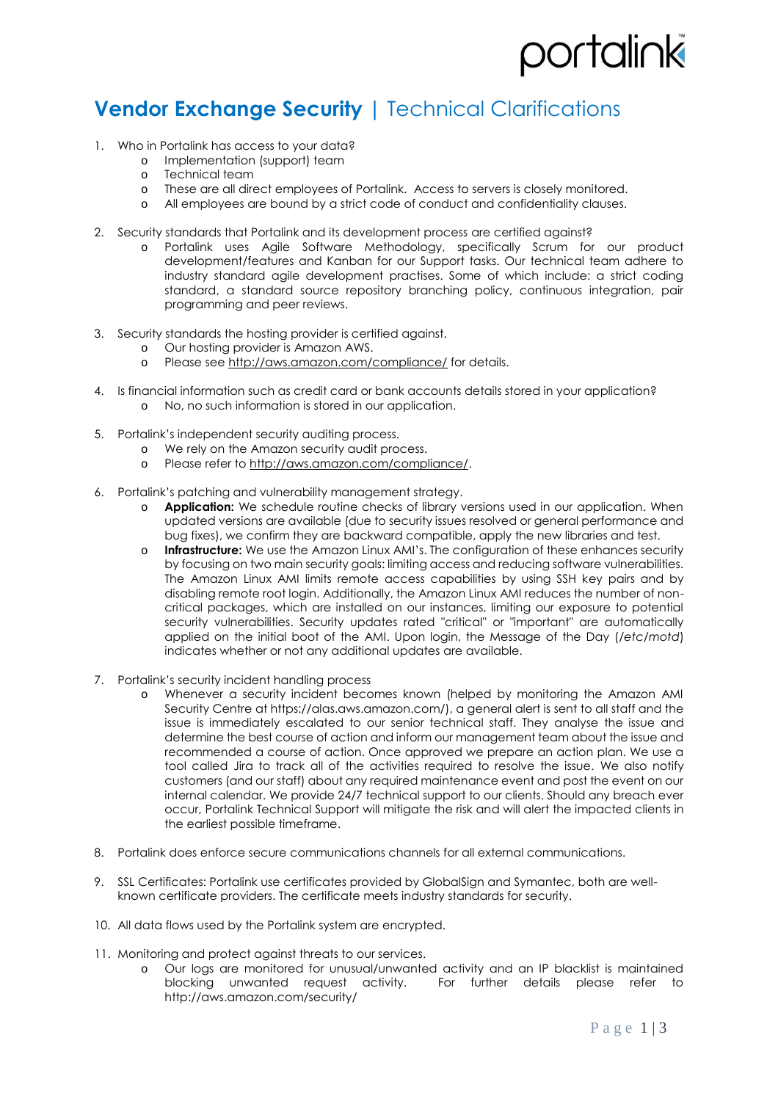## portalink

## **Vendor Exchange Security |** Technical Clarifications

- 1. Who in Portalink has access to your data?
	- o Implementation (support) team
	- o Technical team
	- o These are all direct employees of Portalink. Access to servers is closely monitored.
	- o All employees are bound by a strict code of conduct and confidentiality clauses.
- 2. Security standards that Portalink and its development process are certified against?
	- o Portalink uses Agile Software Methodology, specifically Scrum for our product development/features and Kanban for our Support tasks. Our technical team adhere to industry standard agile development practises. Some of which include: a strict coding standard, a standard source repository branching policy, continuous integration, pair programming and peer reviews.
- 3. Security standards the hosting provider is certified against.
	- o Our hosting provider is Amazon AWS.
	- o Please se[e http://aws.amazon.com/compliance/](http://aws.amazon.com/compliance/) for details.
- 4. Is financial information such as credit card or bank accounts details stored in your application? o No, no such information is stored in our application.
- 5. Portalink's independent security auditing process.
	- o We rely on the Amazon security audit process.
	- o Please refer to [http://aws.amazon.com/compliance/.](http://aws.amazon.com/compliance/)
- 6. Portalink's patching and vulnerability management strategy.
	- Application: We schedule routine checks of library versions used in our application. When updated versions are available (due to security issues resolved or general performance and bug fixes), we confirm they are backward compatible, apply the new libraries and test.
	- o **Infrastructure:** We use the Amazon Linux AMI's. The configuration of these enhances security by focusing on two main security goals: limiting access and reducing software vulnerabilities. The Amazon Linux AMI limits remote access capabilities by using SSH key pairs and by disabling remote root login. Additionally, the Amazon Linux AMI reduces the number of noncritical packages, which are installed on our instances, limiting our exposure to potential security vulnerabilities. Security updates rated "critical" or "important" are automatically applied on the initial boot of the AMI. Upon login, the Message of the Day (*/etc/motd*) indicates whether or not any additional updates are available.
- 7. Portalink's security incident handling process
	- o Whenever a security incident becomes known (helped by monitoring the Amazon AMI Security Centre at https://alas.aws.amazon.com/), a general alert is sent to all staff and the issue is immediately escalated to our senior technical staff. They analyse the issue and determine the best course of action and inform our management team about the issue and recommended a course of action. Once approved we prepare an action plan. We use a tool called Jira to track all of the activities required to resolve the issue. We also notify customers (and our staff) about any required maintenance event and post the event on our internal calendar. We provide 24/7 technical support to our clients. Should any breach ever occur, Portalink Technical Support will mitigate the risk and will alert the impacted clients in the earliest possible timeframe.
- 8. Portalink does enforce secure communications channels for all external communications.
- 9. SSL Certificates: Portalink use certificates provided by GlobalSign and Symantec, both are wellknown certificate providers. The certificate meets industry standards for security.
- 10. All data flows used by the Portalink system are encrypted.
- 11. Monitoring and protect against threats to our services.
	- o Our logs are monitored for unusual/unwanted activity and an IP blacklist is maintained blocking unwanted request activity. For further details please refer to http://aws.amazon.com/security/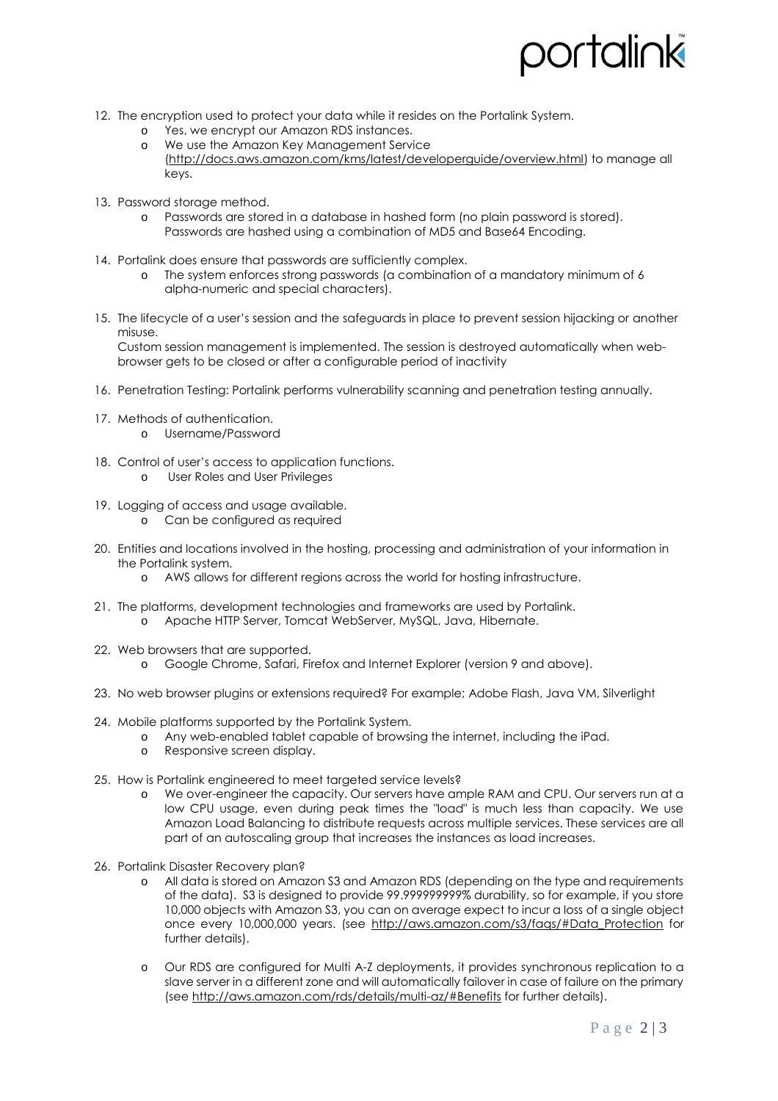## **Drtalink**

- 12. The encryption used to protect your data while it resides on the Portalink System.
	- o Yes, we encrypt our Amazon RDS instances.
	- o We use the Amazon Key Management Service [\(http://docs.aws.amazon.com/kms/latest/developerguide/overview.html\)](http://docs.aws.amazon.com/kms/latest/developerguide/overview.html) to manage all keys.
- 13. Password storage method.
	- o Passwords are stored in a database in hashed form (no plain password is stored). Passwords are hashed using a combination of MD5 and Base64 Encoding.
- 14. Portalink does ensure that passwords are sufficiently complex.
	- o The system enforces strong passwords (a combination of a mandatory minimum of 6 alpha-numeric and special characters).
- 15. The lifecycle of a user's session and the safeguards in place to prevent session hijacking or another misuse. Custom session management is implemented. The session is destroyed automatically when webbrowser gets to be closed or after a configurable period of inactivity
- 16. Penetration Testing: Portalink performs vulnerability scanning and penetration testing annually.
- 17. Methods of authentication.
	- o Username/Password
- 18. Control of user's access to application functions. o User Roles and User Privileges
- 19. Logging of access and usage available.
	- o Can be configured as required
- 20. Entities and locations involved in the hosting, processing and administration of your information in the Portalink system.
	- o AWS allows for different regions across the world for hosting infrastructure.
- 21. The platforms, development technologies and frameworks are used by Portalink.
	- o Apache HTTP Server, Tomcat WebServer, MySQL, Java, Hibernate.
- 22. Web browsers that are supported.
	- o Google Chrome, Safari, Firefox and Internet Explorer (version 9 and above).
- 23. No web browser plugins or extensions required? For example; Adobe Flash, Java VM, Silverlight
- 24. Mobile platforms supported by the Portalink System.
	- o Any web-enabled tablet capable of browsing the internet, including the iPad.
	- o Responsive screen display.
- 25. How is Portalink engineered to meet targeted service levels?
	- o We over-engineer the capacity. Our servers have ample RAM and CPU. Our servers run at a low CPU usage, even during peak times the "load" is much less than capacity. We use Amazon Load Balancing to distribute requests across multiple services. These services are all part of an autoscaling group that increases the instances as load increases.
- 26. Portalink Disaster Recovery plan?
	- o All data is stored on Amazon S3 and Amazon RDS (depending on the type and requirements of the data). S3 is designed to provide 99.999999999% durability, so for example, if you store 10,000 objects with Amazon S3, you can on average expect to incur a loss of a single object once every 10,000,000 years. (see [http://aws.amazon.com/s3/faqs/#Data\\_Protection](http://aws.amazon.com/s3/faqs/#Data_Protection) for further details).
	- o Our RDS are configured for Multi A-Z deployments, it provides synchronous replication to a slave server in a different zone and will automatically failover in case of failure on the primary (see<http://aws.amazon.com/rds/details/multi-az/#Benefits> for further details).